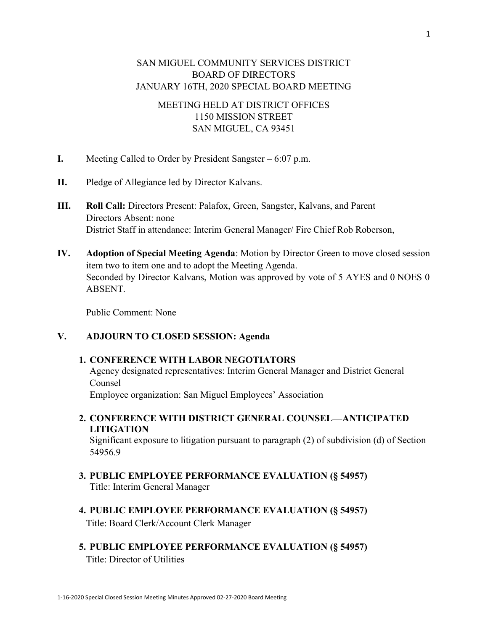## SAN MIGUEL COMMUNITY SERVICES DISTRICT BOARD OF DIRECTORS JANUARY 16TH, 2020 SPECIAL BOARD MEETING

## MEETING HELD AT DISTRICT OFFICES 1150 MISSION STREET SAN MIGUEL, CA 93451

- I. Meeting Called to Order by President Sangster 6:07 p.m.
- II. Pledge of Allegiance led by Director Kalvans.
- III. Roll Call: Directors Present: Palafox, Green, Sangster, Kalvans, and Parent Directors Absent: none District Staff in attendance: Interim General Manager/ Fire Chief Rob Roberson,
- IV. Adoption of Special Meeting Agenda: Motion by Director Green to move closed session item two to item one and to adopt the Meeting Agenda. Seconded by Director Kalvans, Motion was approved by vote of 5 AYES and 0 NOES 0 ABSENT.

Public Comment: None

## V. ADJOURN TO CLOSED SESSION: Agenda

## 1. CONFERENCE WITH LABOR NEGOTIATORS

Agency designated representatives: Interim General Manager and District General Counsel

Employee organization: San Miguel Employees' Association

2. CONFERENCE WITH DISTRICT GENERAL COUNSEL—ANTICIPATED LITIGATION

Significant exposure to litigation pursuant to paragraph (2) of subdivision (d) of Section 54956.9

- 3. PUBLIC EMPLOYEE PERFORMANCE EVALUATION (§ 54957) Title: Interim General Manager
- 4. PUBLIC EMPLOYEE PERFORMANCE EVALUATION (§ 54957) Title: Board Clerk/Account Clerk Manager
- 5. PUBLIC EMPLOYEE PERFORMANCE EVALUATION (§ 54957) Title: Director of Utilities